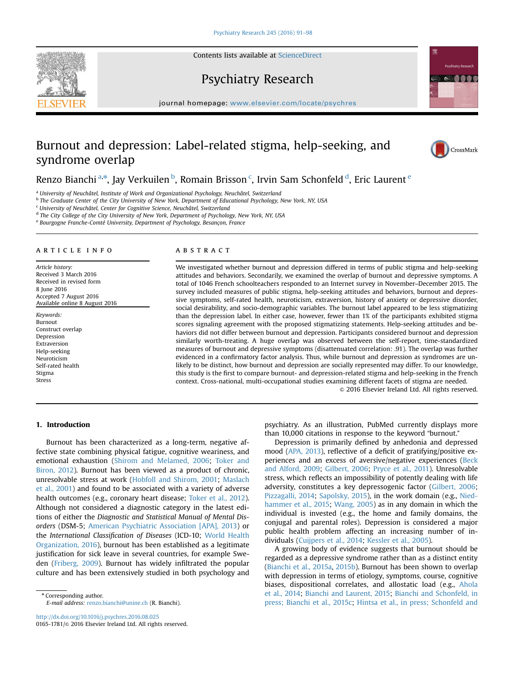Contents lists available at [ScienceDirect](www.sciencedirect.com/science/journal/01651781)





## Psychiatry Research

journal homepage: <www.elsevier.com/locate/psychres>e/psychrese/psychrese/psychrese/psychrese/psychrese/psychrese/psychrese/psychrese/psychrese/psychrese/psychrese/psychrese/psychrese/psychrese/psychrese/psychrese/psychrese

# Burnout and depression: Label-related stigma, help-seeking, and syndrome overlap



## Renzo Bianchi <sup>a,</sup>\*, Jay Verkuilen <sup>b</sup>, Romain Brisson <sup>c</sup>, Irvin Sam Schonfeld <sup>d</sup>, Eric Laurent <sup>e</sup>

<sup>a</sup> University of Neuchâtel, Institute of Work and Organizational Psychology, Neuchâtel, Switzerland

b The Graduate Center of the City University of New York, Department of Educational Psychology, New York, NY, USA

 $\,^{\mathrm{c}}$ University of Neuchâtel, Center for Cognitive Science, Neuchâtel, Switzerland

<sup>d</sup> The City College of the City University of New York, Department of Psychology, New York, NY, USA

<sup>e</sup> Bourgogne Franche-Comté University, Department of Psychology, Besançon, France

## article info

Article history: Received 3 March 2016 Received in revised form 8 June 2016 Accepted 7 August 2016 Available online 8 August 2016

Keywords: Burnout Construct overlap Depression Extraversion Help-seeking Neuroticism Self-rated health Stigma Stress

## ABSTRACT

We investigated whether burnout and depression differed in terms of public stigma and help-seeking attitudes and behaviors. Secondarily, we examined the overlap of burnout and depressive symptoms. A total of 1046 French schoolteachers responded to an Internet survey in November–December 2015. The survey included measures of public stigma, help-seeking attitudes and behaviors, burnout and depressive symptoms, self-rated health, neuroticism, extraversion, history of anxiety or depressive disorder, social desirability, and socio-demographic variables. The burnout label appeared to be less stigmatizing than the depression label. In either case, however, fewer than 1% of the participants exhibited stigma scores signaling agreement with the proposed stigmatizing statements. Help-seeking attitudes and behaviors did not differ between burnout and depression. Participants considered burnout and depression similarly worth-treating. A huge overlap was observed between the self-report, time-standardized measures of burnout and depressive symptoms (disattenuated correlation: .91). The overlap was further evidenced in a confirmatory factor analysis. Thus, while burnout and depression as syndromes are unlikely to be distinct, how burnout and depression are socially represented may differ. To our knowledge, this study is the first to compare burnout- and depression-related stigma and help-seeking in the French context. Cross-national, multi-occupational studies examining different facets of stigma are needed.

 $\odot$  2016 Elsevier Ireland Ltd. All rights reserved.

## 1. Introduction

Burnout has been characterized as a long-term, negative affective state combining physical fatigue, cognitive weariness, and emotional exhaustion ([Shirom and Melamed, 2006](#page-7-0); [Toker and](#page-7-0) [Biron, 2012\)](#page-7-0). Burnout has been viewed as a product of chronic, unresolvable stress at work ([Hobfoll and Shirom, 2001](#page-6-0); [Maslach](#page-6-0) [et al., 2001](#page-6-0)) and found to be associated with a variety of adverse health outcomes (e.g., coronary heart disease; [Toker et al., 2012\)](#page-7-0). Although not considered a diagnostic category in the latest editions of either the Diagnostic and Statistical Manual of Mental Disorders (DSM-5; [American Psychiatric Association \[APA\], 2013](#page-6-0)) or the International Classification of Diseases (ICD-10; [World Health](#page-7-0) [Organization, 2016](#page-7-0)), burnout has been established as a legitimate justification for sick leave in several countries, for example Sweden ([Friberg, 2009\)](#page-6-0). Burnout has widely infiltrated the popular culture and has been extensively studied in both psychology and

\* Corresponding author. E-mail address: [renzo.bianchi@unine.ch](mailto:renzo.bianchi@unine.ch) (R. Bianchi).

<http://dx.doi.org/10.1016/j.psychres.2016.08.025> 0165-1781/© 2016 Elsevier Ireland Ltd. All rights reserved. psychiatry. As an illustration, PubMed currently displays more than 10,000 citations in response to the keyword "burnout."

Depression is primarily defined by anhedonia and depressed mood [\(APA, 2013\)](#page-6-0), reflective of a deficit of gratifying/positive experiences and an excess of aversive/negative experiences ([Beck](#page-6-0) [and Alford, 2009;](#page-6-0) [Gilbert, 2006](#page-6-0); [Pryce et al., 2011](#page-6-0)). Unresolvable stress, which reflects an impossibility of potently dealing with life adversity, constitutes a key depressogenic factor ([Gilbert, 2006;](#page-6-0) [Pizzagalli, 2014](#page-6-0); [Sapolsky, 2015](#page-6-0)), in the work domain (e.g., [Nied](#page-6-0)[hammer et al., 2015;](#page-6-0) [Wang, 2005\)](#page-7-0) as in any domain in which the individual is invested (e.g., the home and family domains, the conjugal and parental roles). Depression is considered a major public health problem affecting an increasing number of individuals ([Cuijpers et al., 2014;](#page-6-0) [Kessler et al., 2005\)](#page-6-0).

A growing body of evidence suggests that burnout should be regarded as a depressive syndrome rather than as a distinct entity ([Bianchi et al., 2015a,](#page-6-0) [2015b](#page-6-0)). Burnout has been shown to overlap with depression in terms of etiology, symptoms, course, cognitive biases, dispositional correlates, and allostatic load (e.g., [Ahola](#page-6-0) [et al., 2014](#page-6-0); [Bianchi and Laurent, 2015](#page-6-0); [Bianchi and Schonfeld, in](#page-6-0) [press; Bianchi et al., 2015c](#page-6-0); [Hintsa et al., in press; Schonfeld and](#page-6-0)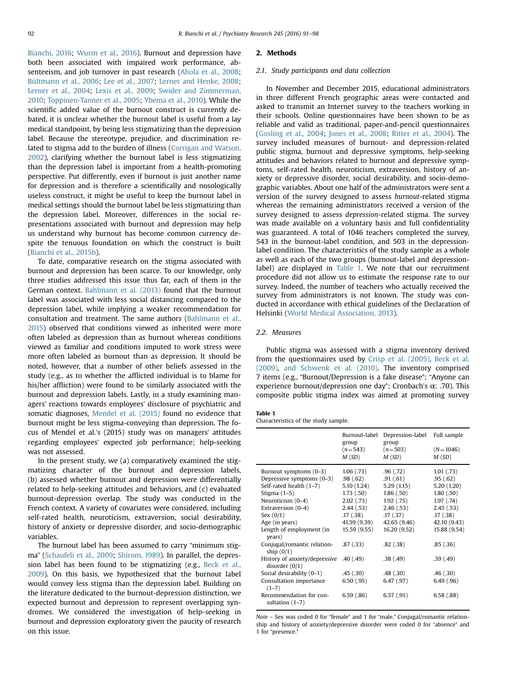[Bianchi, 2016](#page-6-0); [Wurm et al., 2016](#page-6-0)). Burnout and depression have both been associated with impaired work performance, ab-senteeism, and job turnover in past research [\(Ahola et al., 2008;](#page-6-0) [Bültmann et al., 2006](#page-6-0); [Lee et al., 2007;](#page-6-0) [Lerner and Henke, 2008;](#page-6-0) [Lerner et al., 2004;](#page-6-0) [Lexis et al., 2009](#page-6-0); [Swider and Zimmerman,](#page-7-0) [2010;](#page-7-0) [Toppinen-Tanner et al., 2005;](#page-7-0) [Ybema et al., 2010\)](#page-7-0). While the scientific added value of the burnout construct is currently debated, it is unclear whether the burnout label is useful from a lay medical standpoint, by being less stigmatizing than the depression label. Because the stereotype, prejudice, and discrimination related to stigma add to the burden of illness ([Corrigan and Watson,](#page-6-0) [2002\)](#page-6-0), clarifying whether the burnout label is less stigmatizing than the depression label is important from a health-promoting perspective. Put differently, even if burnout is just another name for depression and is therefore a scientifically and nosologically useless construct, it might be useful to keep the burnout label in medical settings should the burnout label be less stigmatizing than the depression label. Moreover, differences in the social representations associated with burnout and depression may help us understand why burnout has become common currency despite the tenuous foundation on which the construct is built ([Bianchi et al., 2015b\)](#page-6-0).

To date, comparative research on the stigma associated with burnout and depression has been scarce. To our knowledge, only three studies addressed this issue thus far, each of them in the German context. [Bahlmann et al. \(2013\)](#page-6-0) found that the burnout label was associated with less social distancing compared to the depression label, while implying a weaker recommendation for consultation and treatment. The same authors [\(Bahlmann et al.,](#page-6-0) [2015\)](#page-6-0) observed that conditions viewed as inherited were more often labeled as depression than as burnout whereas conditions viewed as familiar and conditions imputed to work stress were more often labeled as burnout than as depression. It should be noted, however, that a number of other beliefs assessed in the study (e.g., as to whether the afflicted individual is to blame for his/her affliction) were found to be similarly associated with the burnout and depression labels. Lastly, in a study examining managers' reactions towards employees' disclosure of psychiatric and somatic diagnoses, [Mendel et al. \(2015\)](#page-6-0) found no evidence that burnout might be less stigma-conveying than depression. The focus of Mendel et al.'s (2015) study was on managers' attitudes regarding employees' expected job performance; help-seeking was not assessed.

In the present study, we (a) comparatively examined the stigmatizing character of the burnout and depression labels, (b) assessed whether burnout and depression were differentially related to help-seeking attitudes and behaviors, and (c) evaluated burnout-depression overlap. The study was conducted in the French context. A variety of covariates were considered, including self-rated health, neuroticism, extraversion, social desirability, history of anxiety or depressive disorder, and socio-demographic variables.

The burnout label has been assumed to carry "minimum stigma" [\(Schaufeli et al., 2009](#page-6-0); [Shirom, 1989\)](#page-6-0). In parallel, the depression label has been found to be stigmatizing (e.g., [Beck et al.,](#page-6-0) [2009\)](#page-6-0). On this basis, we hypothesized that the burnout label would convey less stigma than the depression label. Building on the literature dedicated to the burnout-depression distinction, we expected burnout and depression to represent overlapping syndromes. We considered the investigation of help-seeking in burnout and depression exploratory given the paucity of research on this issue.

### 2. Methods

### 2.1. Study participants and data collection

In November and December 2015, educational administrators in three different French geographic areas were contacted and asked to transmit an Internet survey to the teachers working in their schools. Online questionnaires have been shown to be as reliable and valid as traditional, paper-and-pencil questionnaires ([Gosling et al., 2004;](#page-6-0) [Jones et al., 2008](#page-6-0); [Ritter et al., 2004](#page-6-0)). The survey included measures of burnout- and depression-related public stigma, burnout and depressive symptoms, help-seeking attitudes and behaviors related to burnout and depressive symptoms, self-rated health, neuroticism, extraversion, history of anxiety or depressive disorder, social desirability, and socio-demographic variables. About one half of the administrators were sent a version of the survey designed to assess burnout-related stigma whereas the remaining administrators received a version of the survey designed to assess depression-related stigma. The survey was made available on a voluntary basis and full confidentiality was guaranteed. A total of 1046 teachers completed the survey, 543 in the burnout-label condition, and 503 in the depressionlabel condition. The characteristics of the study sample as a whole as well as each of the two groups (burnout-label and depressionlabel) are displayed in Table 1. We note that our recruitment procedure did not allow us to estimate the response rate to our survey. Indeed, the number of teachers who actually received the survey from administrators is not known. The study was conducted in accordance with ethical guidelines of the Declaration of Helsinki [\(World Medical Association, 2013](#page-7-0)).

## 2.2. Measures

Public stigma was assessed with a stigma inventory derived from the questionnaires used by [Crisp et al. \(2005\),](#page-6-0) [Beck et al.](#page-6-0) [\(2009\)](#page-6-0), [and Schwenk et al. \(2010\).](#page-6-0) The inventory comprised 7 items (e.g., "Burnout/Depression is a fake disease"; "Anyone can experience burnout/depression one day"; Cronbach's  $\alpha$ : .70). This composite public stigma index was aimed at promoting survey

| <b>Table 1</b>                       |  |  |
|--------------------------------------|--|--|
| Characteristics of the study sample. |  |  |

|                                                                                                                                                                                                                    | Burnout-label<br>group<br>$(n=543)$<br>M(SD)                                                                              | Depression-label<br>group<br>$(n=503)$<br>M(SD)                                                                          | Full sample<br>$(N=1046)$<br>M(SD)                                                                                       |
|--------------------------------------------------------------------------------------------------------------------------------------------------------------------------------------------------------------------|---------------------------------------------------------------------------------------------------------------------------|--------------------------------------------------------------------------------------------------------------------------|--------------------------------------------------------------------------------------------------------------------------|
| Burnout symptoms (0–3)<br>Depressive symptoms (0–3)<br>Self-rated health (1-7)<br>Stigma $(1-5)$<br>Neuroticism (0-4)<br>Extraversion (0-4)<br>Sex $(0/1)$<br>Age (in years)<br>Length of employment (in<br>years) | 1.06(0.73)<br>.98(.62)<br>5.10 (1.24)<br>1.73(.50)<br>2.02(0.73)<br>2.44(.53)<br>.17(.38)<br>41.59 (9.39)<br>15.59 (9.55) | .96(0.72)<br>.91(.61)<br>5.29(1.15)<br>1.86(.50)<br>1.92(0.75)<br>2.46(0.53)<br>.17(.37)<br>42.65 (9.46)<br>16.20 (9.52) | 1.01(0.73)<br>.95(.62)<br>5.20(1.20)<br>1.80(.50)<br>1.97(0.74)<br>2.45(.53)<br>.17(.38)<br>42.10 (9.43)<br>15.88 (9.54) |
| Conjugal/romantic relation-<br>ship $(0/1)$                                                                                                                                                                        | .87(0.33)                                                                                                                 | .82(.38)                                                                                                                 | .85(.36)                                                                                                                 |
| History of anxiety/depressive<br>disorder $(0/1)$                                                                                                                                                                  | .40(.49)                                                                                                                  | .38(.49)                                                                                                                 | .39(.49)                                                                                                                 |
| Social desirability (0-1)                                                                                                                                                                                          | .45 (.30)                                                                                                                 | .48(.30)                                                                                                                 | .46(.30)                                                                                                                 |
| Consultation importance<br>$(1-7)$                                                                                                                                                                                 | 6.50(.95)                                                                                                                 | 6.47(.97)                                                                                                                | 6.49(.96)                                                                                                                |
| Recommendation for con-<br>sultation $(1-7)$                                                                                                                                                                       | 6.59(.86)                                                                                                                 | 6.57(.91)                                                                                                                | 6.58(.88)                                                                                                                |

Note – Sex was coded 0 for "female" and 1 for "male." Conjugal/romantic relationship and history of anxiety/depressive disorder were coded 0 for "absence" and 1 for "presence."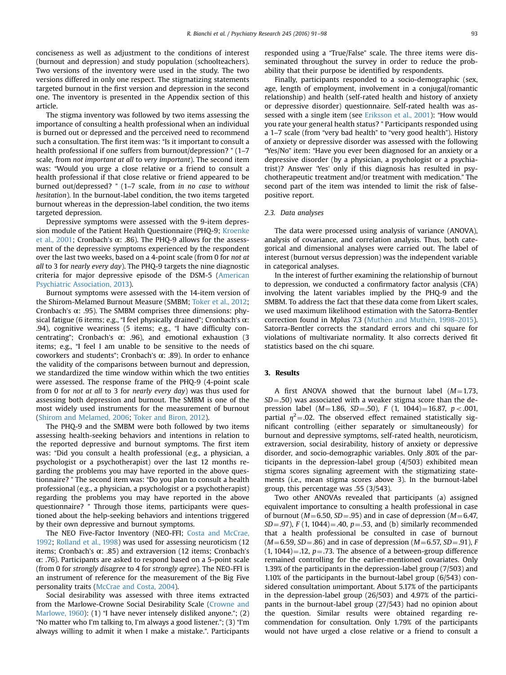conciseness as well as adjustment to the conditions of interest (burnout and depression) and study population (schoolteachers). Two versions of the inventory were used in the study. The two versions differed in only one respect. The stigmatizing statements targeted burnout in the first version and depression in the second one. The inventory is presented in the Appendix section of this article.

The stigma inventory was followed by two items assessing the importance of consulting a health professional when an individual is burned out or depressed and the perceived need to recommend such a consultation. The first item was: "Is it important to consult a health professional if one suffers from burnout/depression? " (1–7 scale, from not important at all to very important). The second item was: "Would you urge a close relative or a friend to consult a health professional if that close relative or friend appeared to be burned out/depressed? " (1–7 scale, from in no case to without hesitation). In the burnout-label condition, the two items targeted burnout whereas in the depression-label condition, the two items targeted depression.

Depressive symptoms were assessed with the 9-item depression module of the Patient Health Questionnaire (PHQ-9; [Kroenke](#page-6-0) [et al., 2001](#page-6-0); Cronbach's α: .86). The PHQ-9 allows for the assessment of the depressive symptoms experienced by the respondent over the last two weeks, based on a 4-point scale (from 0 for not at all to 3 for nearly every day). The PHQ-9 targets the nine diagnostic criteria for major depressive episode of the DSM-5 [\(American](#page-6-0) [Psychiatric Association, 2013](#page-6-0)).

Burnout symptoms were assessed with the 14-item version of the Shirom-Melamed Burnout Measure (SMBM; [Toker et al., 2012;](#page-7-0) Cronbach's  $\alpha$ : .95). The SMBM comprises three dimensions: physical fatigue (6 items; e.g., "I feel physically drained"; Cronbach's  $\alpha$ : .94), cognitive weariness (5 items; e.g., "I have difficulty concentrating"; Cronbach's  $\alpha$ : .96), and emotional exhaustion (3 items; e.g., "I feel I am unable to be sensitive to the needs of coworkers and students"; Cronbach's α: .89). In order to enhance the validity of the comparisons between burnout and depression, we standardized the time window within which the two entities were assessed. The response frame of the PHQ-9 (4-point scale from 0 for not at all to 3 for nearly every day) was thus used for assessing both depression and burnout. The SMBM is one of the most widely used instruments for the measurement of burnout ([Shirom and Melamed, 2006](#page-7-0); [Toker and Biron, 2012\)](#page-7-0).

The PHQ-9 and the SMBM were both followed by two items assessing health-seeking behaviors and intentions in relation to the reported depressive and burnout symptoms. The first item was: "Did you consult a health professional (e.g., a physician, a psychologist or a psychotherapist) over the last 12 months regarding the problems you may have reported in the above questionnaire? " The second item was: "Do you plan to consult a health professional (e.g., a physician, a psychologist or a psychotherapist) regarding the problems you may have reported in the above questionnaire? " Through those items, participants were questioned about the help-seeking behaviors and intentions triggered by their own depressive and burnout symptoms.

The NEO Five-Factor Inventory (NEO-FFI; [Costa and McCrae,](#page-6-0) [1992](#page-6-0); [Rolland et al., 1998\)](#page-6-0) was used for assessing neuroticism (12 items; Cronbach's  $\alpha$ : .85) and extraversion (12 items; Cronbach's α: .76). Participants are asked to respond based on a 5-point scale (from 0 for strongly disagree to 4 for strongly agree). The NEO-FFI is an instrument of reference for the measurement of the Big Five personality traits [\(McCrae and Costa, 2004\)](#page-6-0).

Social desirability was assessed with three items extracted from the Marlowe-Crowne Social Desirability Scale ([Crowne and](#page-6-0) [Marlowe, 1960\)](#page-6-0): (1) "I have never intensely disliked anyone."; (2) "No matter who I'm talking to, I'm always a good listener."; (3) "I'm always willing to admit it when I make a mistake.". Participants responded using a "True/False" scale. The three items were disseminated throughout the survey in order to reduce the probability that their purpose be identified by respondents.

Finally, participants responded to a socio-demographic (sex, age, length of employment, involvement in a conjugal/romantic relationship) and health (self-rated health and history of anxiety or depressive disorder) questionnaire. Self-rated health was assessed with a single item (see [Eriksson et al., 2001\)](#page-6-0): "How would you rate your general health status? " Participants responded using a 1–7 scale (from "very bad health" to "very good health"). History of anxiety or depressive disorder was assessed with the following "Yes/No" item: "Have you ever been diagnosed for an anxiety or a depressive disorder (by a physician, a psychologist or a psychiatrist)? Answer 'Yes' only if this diagnosis has resulted in psychotherapeutic treatment and/or treatment with medication." The second part of the item was intended to limit the risk of falsepositive report.

#### 2.3. Data analyses

The data were processed using analysis of variance (ANOVA), analysis of covariance, and correlation analysis. Thus, both categorical and dimensional analyses were carried out. The label of interest (burnout versus depression) was the independent variable in categorical analyses.

In the interest of further examining the relationship of burnout to depression, we conducted a confirmatory factor analysis (CFA) involving the latent variables implied by the PHQ-9 and the SMBM. To address the fact that these data come from Likert scales, we used maximum likelihood estimation with the Satorra-Bentler correction found in Mplus 7.3 (Muthén and Muthén, 1998–2015). Satorra-Bentler corrects the standard errors and chi square for violations of multivariate normality. It also corrects derived fit statistics based on the chi square.

## 3. Results

A first ANOVA showed that the burnout label  $(M=1.73, 1.73)$  $SD = .50$ ) was associated with a weaker stigma score than the depression label ( $M=1.86$ ,  $SD=.50$ ), F (1, 1044) $=16.87$ , p < 001, partial  $\eta^2$ =.02. The observed effect remained statistically significant controlling (either separately or simultaneously) for burnout and depressive symptoms, self-rated health, neuroticism, extraversion, social desirability, history of anxiety or depressive disorder, and socio-demographic variables. Only .80% of the participants in the depression-label group (4/503) exhibited mean stigma scores signaling agreement with the stigmatizing statements (i.e., mean stigma scores above 3). In the burnout-label group, this percentage was .55 (3/543).

Two other ANOVAs revealed that participants (a) assigned equivalent importance to consulting a health professional in case of burnout ( $M=6.50$ ,  $SD=.95$ ) and in case of depression ( $M=6.47$ ,  $SD = .97$ ), F (1, 1044) = .40, p = .53, and (b) similarly recommended that a health professional be consulted in case of burnout  $(M=6.59, SD=.86)$  and in case of depression  $(M=6.57, SD=.91)$ , F  $(1, 1044) = .12$ ,  $p = .73$ . The absence of a between-group difference remained controlling for the earlier-mentioned covariates. Only 1.39% of the participants in the depression-label group (7/503) and 1.10% of the participants in the burnout-label group (6/543) considered consultation unimportant. About 5.17% of the participants in the depression-label group (26/503) and 4.97% of the participants in the burnout-label group (27/543) had no opinion about the question. Similar results were obtained regarding recommendation for consultation. Only 1.79% of the participants would not have urged a close relative or a friend to consult a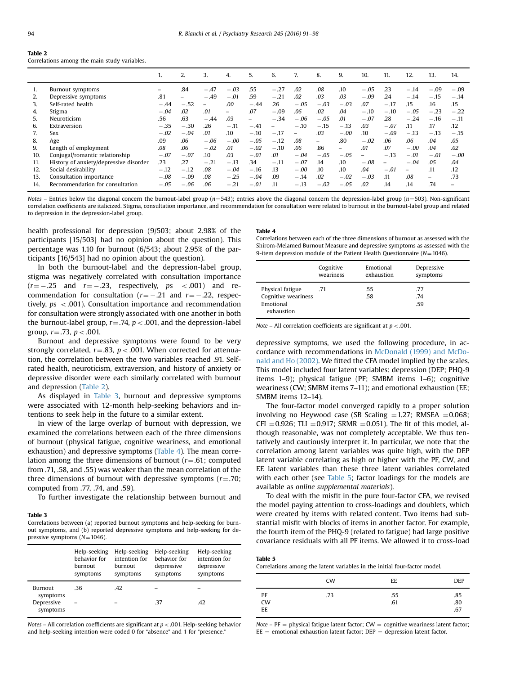#### <span id="page-3-0"></span>Table 2

Correlations among the main study variables.

|     |                                        | ı.     | 2.       | 3.     | 4.                       | 5.                       | 6.              | 7.     | 8.                | 9.     | 10.    | 11.    | 12.    | 13.    | 14.                      |
|-----|----------------------------------------|--------|----------|--------|--------------------------|--------------------------|-----------------|--------|-------------------|--------|--------|--------|--------|--------|--------------------------|
|     | <b>Burnout symptoms</b>                |        | .84      | $-.47$ | $-.03$                   | .55                      | $-.27$          | .02    | .08               | .10    | $-.05$ | .23    | $-.14$ | $-.09$ | $-.09$                   |
|     | Depressive symptoms                    | .81    | $\equiv$ | $-.49$ | $-.01$                   | .59                      | $-.21$          | .02    | .03               | .03    | $-.09$ | .24    | $-.14$ | $-.15$ | $-.14$                   |
| 3.  | Self-rated health                      | $-.44$ | $-.52$   | -      | .00                      | $-.44$                   | .26             | $-.05$ | $-.03$            | $-.03$ | .07    | $-.17$ | .15    | .16    | .15                      |
| 4.  | Stigma                                 | $-.04$ | .02      | .01    | $\overline{\phantom{0}}$ | .07                      | $-.09$          | .06    | .02               | .04    | $-.10$ | $-.10$ | $-.05$ | $-.23$ | $-.22$                   |
| 5.  | Neuroticism                            | .56    | .63      | $-.44$ | .03                      | $\overline{\phantom{0}}$ | $-.34$          | $-.06$ | $-.05$            | .01    | $-.07$ | .28    | $-.24$ | $-.16$ | $-.11$                   |
| 6.  | Extraversion                           | $-.35$ | $-.30$   | .26    | $-.11$                   | $-.41$                   | $\qquad \qquad$ | $-.10$ | $-.15$            | $-.13$ | .03    | $-.07$ | .11    | .17    | .12                      |
|     | Sex                                    | $-.02$ | $-.04$   | .01    | .10                      | $-.10$                   | $-.17$          | -      | .03               | $-.00$ | .10    | $-.09$ | $-.13$ | $-.13$ | $-.15$                   |
| 8.  | Age                                    | .09    | .06      | $-.06$ | $-.00$                   | $-.05$                   | $-.12$          | .08    | $\qquad \qquad =$ | .80    | $-.02$ | .06    | .06    | .04    | .05                      |
| 9.  | Length of employment                   | .08    | .06      | $-.02$ | .01                      | $-.02$                   | $-.10$          | .06    | .86               | $-$    | .01    | .07    | $-.00$ | .04    | .02                      |
| 10. | Conjugal/romantic relationship         | $-.07$ | $-.07$   | .10    | .03                      | $-.01$                   | .01             | $-.04$ | $-.05$            | $-.05$ | -      | $-.13$ | $-.01$ | $-.01$ | $-.00$                   |
| 11. | History of anxiety/depressive disorder | .23    | .27      | $-.21$ | $-.13$                   | .34                      | $-.11$          | $-.07$ | .14               | .10    | $-.08$ | -      | $-.04$ | .05    | .04                      |
| 12. | Social desirability                    | $-.12$ | $-.12$   | .08    | $-.04$                   | $-.16$                   | .13             | $-.00$ | .10               | .10    | .04    | $-.01$ | $-$    | .11    | .12                      |
| 13. | Consultation importance                | $-.08$ | $-.09$   | .08    | $-.25$                   | $-.04$                   | .09             | $-.14$ | .02               | $-.02$ | $-.03$ | .11    | .08    | $-$    | .73                      |
| 14. | Recommendation for consultation        | $-.05$ | $-.06$   | .06    | $-.21$                   | $-.01$                   | .11             | $-.13$ | $-.02$            | $-.05$ | .02    | .14    | .14    | .74    | $\overline{\phantom{0}}$ |

Notes – Entries below the diagonal concern the burnout-label group ( $n=543$ ); entries above the diagonal concern the depression-label group ( $n=503$ ). Non-significant correlation coefficients are italicized. Stigma, consultation importance, and recommendation for consultation were related to burnout in the burnout-label group and related to depression in the depression-label group.

health professional for depression (9/503; about 2.98% of the participants [15/503] had no opinion about the question). This percentage was 1.10 for burnout (6/543; about 2.95% of the participants [16/543] had no opinion about the question).

In both the burnout-label and the depression-label group, stigma was negatively correlated with consultation importance  $(r = -.25$  and  $r = -.23$ , respectively,  $ps < .001$ ) and recommendation for consultation  $(r = -.21$  and  $r = -.22$ , respectively,  $ps < .001$ ). Consultation importance and recommendation for consultation were strongly associated with one another in both the burnout-label group,  $r = .74$ ,  $p < .001$ , and the depression-label group,  $r = .73$ ,  $p < .001$ .

Burnout and depressive symptoms were found to be very strongly correlated,  $r = .83$ ,  $p < .001$ . When corrected for attenuation, the correlation between the two variables reached .91. Selfrated health, neuroticism, extraversion, and history of anxiety or depressive disorder were each similarly correlated with burnout and depression (Table 2).

As displayed in Table 3, burnout and depressive symptoms were associated with 12-month help-seeking behaviors and intentions to seek help in the future to a similar extent.

In view of the large overlap of burnout with depression, we examined the correlations between each of the three dimensions of burnout (physical fatigue, cognitive weariness, and emotional exhaustion) and depressive symptoms (Table 4). The mean correlation among the three dimensions of burnout  $(r=.61;$  computed from .71, .58, and .55) was weaker than the mean correlation of the three dimensions of burnout with depressive symptoms  $(r=.70;$ computed from .77, .74, and .59).

To further investigate the relationship between burnout and

## Table 3

Correlations between (a) reported burnout symptoms and help-seeking for burnout symptoms, and (b) reported depressive symptoms and help-seeking for depressive symptoms  $(N=1046)$ .

|                                                      | Help-seeking | Help-seeking  | Help-seeking | Help-seeking  |
|------------------------------------------------------|--------------|---------------|--------------|---------------|
|                                                      | behavior for | intention for | behavior for | intention for |
|                                                      | burnout      | burnout       | depressive   | depressive    |
|                                                      | symptoms     | symptoms      | symptoms     | symptoms      |
| <b>Burnout</b><br>symptoms<br>Depressive<br>symptoms | .36          | .42           | .37          | .42           |

Notes – All correlation coefficients are significant at  $p < .001$ . Help-seeking behavior and help-seeking intention were coded 0 for "absence" and 1 for "presence."

#### Table 4

Correlations between each of the three dimensions of burnout as assessed with the Shirom-Melamed Burnout Measure and depressive symptoms as assessed with the 9-item depression module of the Patient Health Questionnaire ( $N=1046$ ).

|                                                                    | Cognitive | Emotional  | Depressive        |
|--------------------------------------------------------------------|-----------|------------|-------------------|
|                                                                    | weariness | exhaustion | symptoms          |
| Physical fatigue<br>Cognitive weariness<br>Emotional<br>exhaustion | .71       | .55<br>.58 | .77<br>.74<br>.59 |

Note – All correlation coefficients are significant at  $p < .001$ .

depressive symptoms, we used the following procedure, in accordance with recommendations in [McDonald \(1999\) and McDo](#page-6-0)[nald and Ho \(2002\).](#page-6-0) We fitted the CFA model implied by the scales. This model included four latent variables: depression (DEP; PHQ-9 items 1–9); physical fatigue (PF; SMBM items 1–6); cognitive weariness (CW; SMBM items 7–11); and emotional exhaustion (EE; SMBM items 12–14).

The four-factor model converged rapidly to a proper solution involving no Heywood case (SB Scaling  $=$  1.27; RMSEA  $=$  0.068; CFI = 0.926; TLI = 0.917; SRMR = 0.051). The fit of this model, although reasonable, was not completely acceptable. We thus tentatively and cautiously interpret it. In particular, we note that the correlation among latent variables was quite high, with the DEP latent variable correlating as high or higher with the PF, CW, and EE latent variables than these three latent variables correlated with each other (see Table 5; factor loadings for the models are available as online supplemental materials).

To deal with the misfit in the pure four-factor CFA, we revised the model paying attention to cross-loadings and doublets, which were created by items with related content. Two items had substantial misfit with blocks of items in another factor. For example, the fourth item of the PHQ-9 (related to fatigue) had large positive covariance residuals with all PF items. We allowed it to cross-load

## Table 5

Correlations among the latent variables in the initial four-factor model.

|                | <b>CW</b> | EE             | <b>DEP</b>        |
|----------------|-----------|----------------|-------------------|
| PF<br>CW<br>EE | .73       | $.55$<br>$.61$ | .85<br>.80<br>.67 |

Note – PF = physical fatigue latent factor;  $CW =$  cognitive weariness latent factor;  $EE =$  emotional exhaustion latent factor;  $DEF =$  depression latent factor.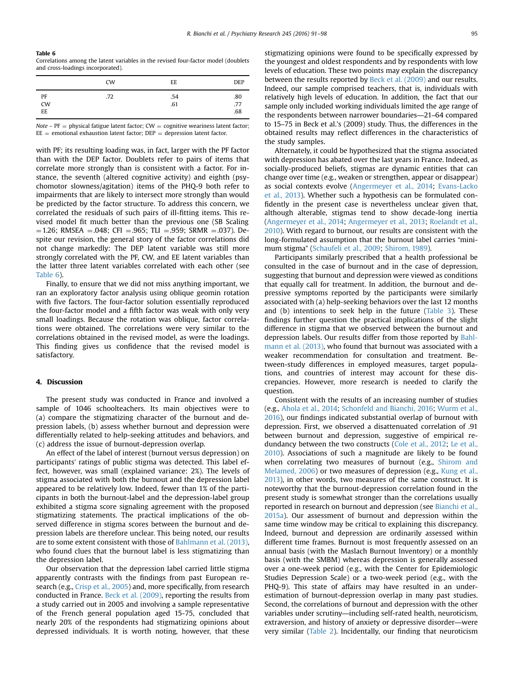#### <span id="page-4-0"></span>Table 6

Correlations among the latent variables in the revised four-factor model (doublets and cross-loadings incorporated).

|                | <b>CW</b> | EE         | <b>DEP</b>       |
|----------------|-----------|------------|------------------|
| PF<br>CW<br>EE | .72       | .54<br>.61 | .80<br>$.77$ .68 |

Note –  $PF =$  physical fatigue latent factor;  $CW =$  cognitive weariness latent factor;  $EE =$  emotional exhaustion latent factor; DEP = depression latent factor.

with PF; its resulting loading was, in fact, larger with the PF factor than with the DEP factor. Doublets refer to pairs of items that correlate more strongly than is consistent with a factor. For instance, the seventh (altered cognitive activity) and eighth (psychomotor slowness/agitation) items of the PHQ-9 both refer to impairments that are likely to intersect more strongly than would be predicted by the factor structure. To address this concern, we correlated the residuals of such pairs of ill-fitting items. This revised model fit much better than the previous one (SB Scaling  $=$  1.26; RMSEA  $=$ .048; CFI  $=$ .965; TLI  $=$ .959; SRMR  $=$ .037). Despite our revision, the general story of the factor correlations did not change markedly: The DEP latent variable was still more strongly correlated with the PF, CW, and EE latent variables than the latter three latent variables correlated with each other (see Table 6).

Finally, to ensure that we did not miss anything important, we ran an exploratory factor analysis using oblique geomin rotation with five factors. The four-factor solution essentially reproduced the four-factor model and a fifth factor was weak with only very small loadings. Because the rotation was oblique, factor correlations were obtained. The correlations were very similar to the correlations obtained in the revised model, as were the loadings. This finding gives us confidence that the revised model is satisfactory.

## 4. Discussion

The present study was conducted in France and involved a sample of 1046 schoolteachers. Its main objectives were to (a) compare the stigmatizing character of the burnout and depression labels, (b) assess whether burnout and depression were differentially related to help-seeking attitudes and behaviors, and (c) address the issue of burnout-depression overlap.

An effect of the label of interest (burnout versus depression) on participants' ratings of public stigma was detected. This label effect, however, was small (explained variance: 2%). The levels of stigma associated with both the burnout and the depression label appeared to be relatively low. Indeed, fewer than 1% of the participants in both the burnout-label and the depression-label group exhibited a stigma score signaling agreement with the proposed stigmatizing statements. The practical implications of the observed difference in stigma scores between the burnout and depression labels are therefore unclear. This being noted, our results are to some extent consistent with those of [Bahlmann et al. \(2013\),](#page-6-0) who found clues that the burnout label is less stigmatizing than the depression label.

Our observation that the depression label carried little stigma apparently contrasts with the findings from past European research (e.g., [Crisp et al., 2005\)](#page-6-0) and, more specifically, from research conducted in France. [Beck et al. \(2009\)](#page-6-0), reporting the results from a study carried out in 2005 and involving a sample representative of the French general population aged 15-75, concluded that nearly 20% of the respondents had stigmatizing opinions about depressed individuals. It is worth noting, however, that these stigmatizing opinions were found to be specifically expressed by the youngest and oldest respondents and by respondents with low levels of education. These two points may explain the discrepancy between the results reported by [Beck et al. \(2009\)](#page-6-0) and our results. Indeed, our sample comprised teachers, that is, individuals with relatively high levels of education. In addition, the fact that our sample only included working individuals limited the age range of the respondents between narrower boundaries—21–64 compared to 15–75 in Beck et al.'s (2009) study. Thus, the differences in the obtained results may reflect differences in the characteristics of the study samples.

Alternately, it could be hypothesized that the stigma associated with depression has abated over the last years in France. Indeed, as socially-produced beliefs, stigmas are dynamic entities that can change over time (e.g., weaken or strengthen, appear or disappear) as social contexts evolve [\(Angermeyer et al., 2014](#page-6-0); [Evans-Lacko](#page-6-0) [et al., 2013](#page-6-0)). Whether such a hypothesis can be formulated confidently in the present case is nevertheless unclear given that, although alterable, stigmas tend to show decade-long inertia ([Angermeyer et al., 2014;](#page-6-0) [Angermeyer et al., 2013;](#page-6-0) [Roelandt et al.,](#page-6-0) [2010\)](#page-6-0). With regard to burnout, our results are consistent with the long-formulated assumption that the burnout label carries "minimum stigma" [\(Schaufeli et al., 2009;](#page-6-0) [Shirom, 1989](#page-6-0)).

Participants similarly prescribed that a health professional be consulted in the case of burnout and in the case of depression, suggesting that burnout and depression were viewed as conditions that equally call for treatment. In addition, the burnout and depressive symptoms reported by the participants were similarly associated with (a) help-seeking behaviors over the last 12 months and (b) intentions to seek help in the future [\(Table 3](#page-3-0)). These findings further question the practical implications of the slight difference in stigma that we observed between the burnout and depression labels. Our results differ from those reported by [Bahl](#page-6-0)[mann et al. \(2013\),](#page-6-0) who found that burnout was associated with a weaker recommendation for consultation and treatment. Between-study differences in employed measures, target populations, and countries of interest may account for these discrepancies. However, more research is needed to clarify the question.

Consistent with the results of an increasing number of studies (e.g., [Ahola et al., 2014](#page-6-0); [Schonfeld and Bianchi, 2016;](#page-6-0) [Wurm et al.,](#page-7-0) [2016\)](#page-7-0), our findings indicated substantial overlap of burnout with depression. First, we observed a disattenuated correlation of .91 between burnout and depression, suggestive of empirical redundancy between the two constructs [\(Cole et al., 2012](#page-6-0); [Le et al.,](#page-6-0) [2010\)](#page-6-0). Associations of such a magnitude are likely to be found when correlating two measures of burnout (e.g., [Shirom and](#page-7-0) [Melamed, 2006](#page-7-0)) or two measures of depression (e.g., [Kung et al.,](#page-6-0) [2013\)](#page-6-0), in other words, two measures of the same construct. It is noteworthy that the burnout-depression correlation found in the present study is somewhat stronger than the correlations usually reported in research on burnout and depression (see [Bianchi et al.,](#page-6-0) [2015a\)](#page-6-0). Our assessment of burnout and depression within the same time window may be critical to explaining this discrepancy. Indeed, burnout and depression are ordinarily assessed within different time frames. Burnout is most frequently assessed on an annual basis (with the Maslach Burnout Inventory) or a monthly basis (with the SMBM) whereas depression is generally assessed over a one-week period (e.g., with the Center for Epidemiologic Studies Depression Scale) or a two-week period (e.g., with the PHQ-9). This state of affairs may have resulted in an underestimation of burnout-depression overlap in many past studies. Second, the correlations of burnout and depression with the other variables under scrutiny—including self-rated health, neuroticism, extraversion, and history of anxiety or depressive disorder—were very similar [\(Table 2\)](#page-3-0). Incidentally, our finding that neuroticism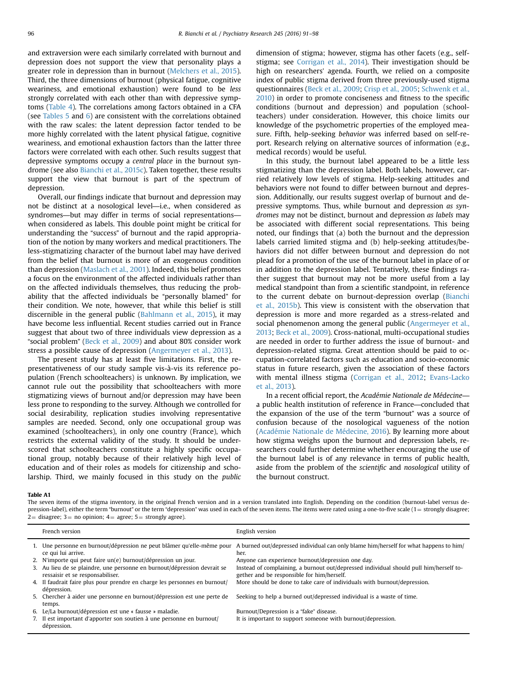<span id="page-5-0"></span>and extraversion were each similarly correlated with burnout and depression does not support the view that personality plays a greater role in depression than in burnout [\(Melchers et al., 2015\)](#page-6-0). Third, the three dimensions of burnout (physical fatigue, cognitive weariness, and emotional exhaustion) were found to be less strongly correlated with each other than with depressive symptoms ([Table 4](#page-3-0)). The correlations among factors obtained in a CFA (see [Tables 5](#page-3-0) and [6](#page-4-0)) are consistent with the correlations obtained with the raw scales: the latent depression factor tended to be more highly correlated with the latent physical fatigue, cognitive weariness, and emotional exhaustion factors than the latter three factors were correlated with each other. Such results suggest that depressive symptoms occupy a central place in the burnout syndrome (see also [Bianchi et al., 2015c\)](#page-6-0). Taken together, these results support the view that burnout is part of the spectrum of depression.

Overall, our findings indicate that burnout and depression may not be distinct at a nosological level—i.e., when considered as syndromes—but may differ in terms of social representations when considered as labels. This double point might be critical for understanding the "success" of burnout and the rapid appropriation of the notion by many workers and medical practitioners. The less-stigmatizing character of the burnout label may have derived from the belief that burnout is more of an exogenous condition than depression [\(Maslach et al., 2001](#page-6-0)). Indeed, this belief promotes a focus on the environment of the affected individuals rather than on the affected individuals themselves, thus reducing the probability that the affected individuals be "personally blamed" for their condition. We note, however, that while this belief is still discernible in the general public [\(Bahlmann et al., 2015](#page-6-0)), it may have become less influential. Recent studies carried out in France suggest that about two of three individuals view depression as a "social problem" [\(Beck et al., 2009\)](#page-6-0) and about 80% consider work stress a possible cause of depression [\(Angermeyer et al., 2013](#page-6-0)).

The present study has at least five limitations. First, the representativeness of our study sample vis-à-vis its reference population (French schoolteachers) is unknown. By implication, we cannot rule out the possibility that schoolteachers with more stigmatizing views of burnout and/or depression may have been less prone to responding to the survey. Although we controlled for social desirability, replication studies involving representative samples are needed. Second, only one occupational group was examined (schoolteachers), in only one country (France), which restricts the external validity of the study. It should be underscored that schoolteachers constitute a highly specific occupational group, notably because of their relatively high level of education and of their roles as models for citizenship and scholarship. Third, we mainly focused in this study on the public dimension of stigma; however, stigma has other facets (e.g., selfstigma; see [Corrigan et al., 2014\)](#page-6-0). Their investigation should be high on researchers' agenda. Fourth, we relied on a composite index of public stigma derived from three previously-used stigma questionnaires [\(Beck et al., 2009;](#page-6-0) [Crisp et al., 2005](#page-6-0); [Schwenk et al.,](#page-6-0) [2010\)](#page-6-0) in order to promote conciseness and fitness to the specific conditions (burnout and depression) and population (schoolteachers) under consideration. However, this choice limits our knowledge of the psychometric properties of the employed measure. Fifth, help-seeking behavior was inferred based on self-report. Research relying on alternative sources of information (e.g., medical records) would be useful.

In this study, the burnout label appeared to be a little less stigmatizing than the depression label. Both labels, however, carried relatively low levels of stigma. Help-seeking attitudes and behaviors were not found to differ between burnout and depression. Additionally, our results suggest overlap of burnout and depressive symptoms. Thus, while burnout and depression as syndromes may not be distinct, burnout and depression as labels may be associated with different social representations. This being noted, our findings that (a) both the burnout and the depression labels carried limited stigma and (b) help-seeking attitudes/behaviors did not differ between burnout and depression do not plead for a promotion of the use of the burnout label in place of or in addition to the depression label. Tentatively, these findings rather suggest that burnout may not be more useful from a lay medical standpoint than from a scientific standpoint, in reference to the current debate on burnout-depression overlap ([Bianchi](#page-6-0) [et al., 2015b\)](#page-6-0). This view is consistent with the observation that depression is more and more regarded as a stress-related and social phenomenon among the general public [\(Angermeyer et al.,](#page-6-0) [2013;](#page-6-0) [Beck et al., 2009](#page-6-0)). Cross-national, multi-occupational studies are needed in order to further address the issue of burnout- and depression-related stigma. Great attention should be paid to occupation-correlated factors such as education and socio-economic status in future research, given the association of these factors with mental illness stigma [\(Corrigan et al., 2012;](#page-6-0) [Evans-Lacko](#page-6-0) [et al., 2013](#page-6-0)).

In a recent official report, the Académie Nationale de Médecine a public health institution of reference in France—concluded that the expansion of the use of the term "burnout" was a source of confusion because of the nosological vagueness of the notion ([Académie Nationale de Médecine, 2016](#page-6-0)). By learning more about how stigma weighs upon the burnout and depression labels, researchers could further determine whether encouraging the use of the burnout label is of any relevance in terms of public health, aside from the problem of the scientific and nosological utility of the burnout construct.

#### Table A1

The seven items of the stigma inventory, in the original French version and in a version translated into English. Depending on the condition (burnout-label versus depression-label), either the term "burnout" or the term "depression" was used in each of the seven items. The items were rated using a one-to-five scale (1= strongly disagree;  $2 =$  disagree; 3 = no opinion; 4 = agree; 5 = strongly agree).

| French version                                                                                                                                  | English version                                                                                                                      |
|-------------------------------------------------------------------------------------------------------------------------------------------------|--------------------------------------------------------------------------------------------------------------------------------------|
| 1. Une personne en burnout/dépression ne peut blâmer qu'elle-même pour<br>ce qui lui arrive.                                                    | A burned out/depressed individual can only blame him/herself for what happens to him/<br>her.                                        |
| 2. N'importe qui peut faire un(e) burnout/dépression un jour.                                                                                   | Anyone can experience burnout/depression one day.                                                                                    |
| 3. Au lieu de se plaindre, une personne en burnout/dépression devrait se<br>ressaisir et se responsabiliser.                                    | Instead of complaining, a burnout out/depressed individual should pull him/herself to-<br>gether and be responsible for him/herself. |
| 4. Il faudrait faire plus pour prendre en charge les personnes en burnout/<br>dépression.                                                       | More should be done to take care of individuals with burnout/depression.                                                             |
| 5. Chercher à aider une personne en burnout/dépression est une perte de<br>temps.                                                               | Seeking to help a burned out/depressed individual is a waste of time.                                                                |
| 6. Le/La burnout/dépression est une « fausse » maladie.<br>7. Il est important d'apporter son soutien à une personne en burnout/<br>dépression. | Burnout/Depression is a "fake" disease.<br>It is important to support someone with burnout/depression.                               |
|                                                                                                                                                 |                                                                                                                                      |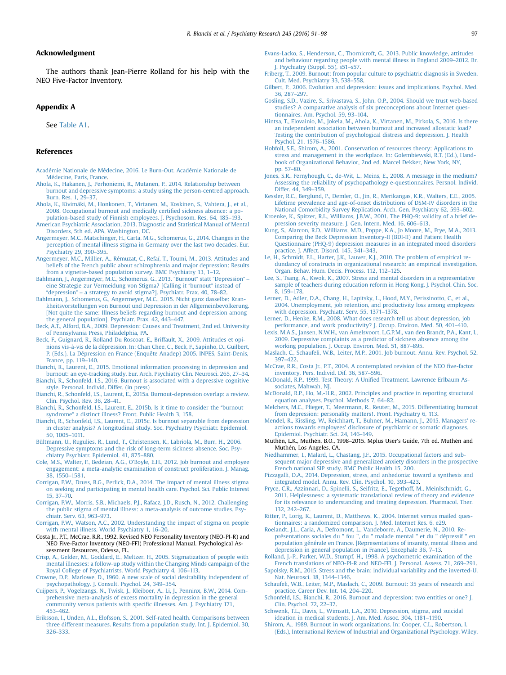## <span id="page-6-0"></span>Acknowledgment

The authors thank Jean-Pierre Rolland for his help with the NEO Five-Factor Inventory.

#### Appendix A

See [Table A1](#page-5-0).

## References

- [Académie Nationale de Médecine, 2016. Le Burn-Out. Académie Nationale de](http://refhub.elsevier.com/S0165-1781(16)30390-0/sbref1) [Médecine, Paris, France.](http://refhub.elsevier.com/S0165-1781(16)30390-0/sbref1)
- [Ahola, K., Hakanen, J., Perhoniemi, R., Mutanen, P., 2014. Relationship between](http://refhub.elsevier.com/S0165-1781(16)30390-0/sbref2) [burnout and depressive symptoms: a study using the person-centred approach.](http://refhub.elsevier.com/S0165-1781(16)30390-0/sbref2) [Burn. Res. 1, 29](http://refhub.elsevier.com/S0165-1781(16)30390-0/sbref2)–37.
- [Ahola, K., Kivimäki, M., Honkonen, T., Virtanen, M., Koskinen, S., Vahtera, J., et al.,](http://refhub.elsevier.com/S0165-1781(16)30390-0/sbref3) [2008. Occupational burnout and medically certi](http://refhub.elsevier.com/S0165-1781(16)30390-0/sbref3)fied sickness absence: a po[pulation-based study of Finnish employees. J. Psychosom. Res. 64, 185](http://refhub.elsevier.com/S0165-1781(16)30390-0/sbref3)–193.
- [American Psychiatric Association, 2013. Diagnostic and Statistical Manual of Mental](http://refhub.elsevier.com/S0165-1781(16)30390-0/sbref4) [Disorders, 5th ed. APA, Washington, DC.](http://refhub.elsevier.com/S0165-1781(16)30390-0/sbref4)
- [Angermeyer, M.C., Matschinger, H., Carta, M.G., Schomerus, G., 2014. Changes in the](http://refhub.elsevier.com/S0165-1781(16)30390-0/sbref5) [perception of mental illness stigma in Germany over the last two decades. Eur.](http://refhub.elsevier.com/S0165-1781(16)30390-0/sbref5) [Psychiatry 29, 390](http://refhub.elsevier.com/S0165-1781(16)30390-0/sbref5)–395.
- [Angermeyer, M.C., Millier, A., Rémuzat, C., Refaï, T., Toumi, M., 2013. Attitudes and](http://refhub.elsevier.com/S0165-1781(16)30390-0/sbref6) [beliefs of the French public about schizophrenia and major depression: Results](http://refhub.elsevier.com/S0165-1781(16)30390-0/sbref6) [from a vignette-based population survey. BMC Psychiatry 13, 1](http://refhub.elsevier.com/S0165-1781(16)30390-0/sbref6)–12.
- [Bahlmann, J., Angermeyer, M.C., Schomerus, G., 2013.](http://refhub.elsevier.com/S0165-1781(16)30390-0/sbref7) "Burnout" statt "Depression" [eine Strategie zur Vermeidung von Stigma? \[Calling it](http://refhub.elsevier.com/S0165-1781(16)30390-0/sbref7) "burnout" instead of "depression" – [a strategy to avoid stigma?\]. Psychiatr. Prax. 40, 78](http://refhub.elsevier.com/S0165-1781(16)30390-0/sbref7)–82.
- [Bahlmann, J., Schomerus, G., Angermeyer, M.C., 2015. Nicht ganz dasselbe: Kran](http://refhub.elsevier.com/S0165-1781(16)30390-0/sbref8)[kheitsvorstellungen von Burnout und Depression in der Allgemeinbevölkerung.](http://refhub.elsevier.com/S0165-1781(16)30390-0/sbref8) [\[Not quite the same: Illness beliefs regarding burnout and depression among](http://refhub.elsevier.com/S0165-1781(16)30390-0/sbref8) [the general population\]. Psychiatr. Prax. 42, 443](http://refhub.elsevier.com/S0165-1781(16)30390-0/sbref8)–447.
- [Beck, A.T., Alford, B.A., 2009. Depression: Causes and Treatment, 2nd ed. University](http://refhub.elsevier.com/S0165-1781(16)30390-0/sbref9) [of Pennsylvania Press, Philadelphia, PA.](http://refhub.elsevier.com/S0165-1781(16)30390-0/sbref9)
- [Beck, F., Guignard, R., Rolland Du Roscoat, E., Briffault, X., 2009. Attitudes et opi](http://refhub.elsevier.com/S0165-1781(16)30390-0/sbref10)[nions vis-à-vis de la dépression. In: Chan Chee, C., Beck, F., Sapinho, D., Guilbert,](http://refhub.elsevier.com/S0165-1781(16)30390-0/sbref10) [P. \(Eds.\), La Dépression en France \(Enquête Anadep\) 2005. INPES, Saint-Denis,](http://refhub.elsevier.com/S0165-1781(16)30390-0/sbref10) [France, pp. 119](http://refhub.elsevier.com/S0165-1781(16)30390-0/sbref10)–140.
- [Bianchi, R., Laurent, E., 2015. Emotional information processing in depression and](http://refhub.elsevier.com/S0165-1781(16)30390-0/sbref11) [burnout: an eye-tracking study. Eur. Arch. Psychiatry Clin. Neurosci. 265, 27](http://refhub.elsevier.com/S0165-1781(16)30390-0/sbref11)–34.
- [Bianchi, R., Schonfeld, I.S., 2016. Burnout is associated with a depressive cognitive](http://refhub.elsevier.com/S0165-1781(16)30390-0/sbref12) [style. Personal. Individ. Differ. \(in press\)](http://refhub.elsevier.com/S0165-1781(16)30390-0/sbref12)
- [Bianchi, R., Schonfeld, I.S., Laurent, E., 2015a. Burnout-depression overlap: a review.](http://refhub.elsevier.com/S0165-1781(16)30390-0/sbref13) [Clin. Psychol. Rev. 36, 28](http://refhub.elsevier.com/S0165-1781(16)30390-0/sbref13)–41.
- [Bianchi, R., Schonfeld, I.S., Laurent, E., 2015b. Is it time to consider the](http://refhub.elsevier.com/S0165-1781(16)30390-0/sbref14) "burnout syndrome" [a distinct illness? Front. Public Health 3, 158.](http://refhub.elsevier.com/S0165-1781(16)30390-0/sbref14)
- [Bianchi, R., Schonfeld, I.S., Laurent, E., 2015c. Is burnout separable from depression](http://refhub.elsevier.com/S0165-1781(16)30390-0/sbref15) [in cluster analysis? A longitudinal study. Soc. Psychiatry Psychiatr. Epidemiol.](http://refhub.elsevier.com/S0165-1781(16)30390-0/sbref15) [50, 1005](http://refhub.elsevier.com/S0165-1781(16)30390-0/sbref15)–1011.
- [Bültmann, U., Rugulies, R., Lund, T., Christensen, K., Labriola, M., Burr, H., 2006.](http://refhub.elsevier.com/S0165-1781(16)30390-0/sbref16) [Depressive symptoms and the risk of long-term sickness absence. Soc. Psy](http://refhub.elsevier.com/S0165-1781(16)30390-0/sbref16)[chiatry Psychiatr. Epidemiol. 41, 875](http://refhub.elsevier.com/S0165-1781(16)30390-0/sbref16)–880.
- [Cole, M.S., Walter, F., Bedeian, A.G., O'Boyle, E.H., 2012. Job burnout and employee](http://refhub.elsevier.com/S0165-1781(16)30390-0/sbref17) [engagement: a meta-analytic examination of construct proliferation. J. Manag.](http://refhub.elsevier.com/S0165-1781(16)30390-0/sbref17) [38, 1550](http://refhub.elsevier.com/S0165-1781(16)30390-0/sbref17)–1581.
- [Corrigan, P.W., Druss, B.G., Perlick, D.A., 2014. The impact of mental illness stigma](http://refhub.elsevier.com/S0165-1781(16)30390-0/sbref18) [on seeking and participating in mental health care. Psychol. Sci. Public Interest](http://refhub.elsevier.com/S0165-1781(16)30390-0/sbref18) [15, 37](http://refhub.elsevier.com/S0165-1781(16)30390-0/sbref18)–70.
- [Corrigan, P.W., Morris, S.B., Michaels, P.J., Rafacz, J.D., Rusch, N., 2012. Challenging](http://refhub.elsevier.com/S0165-1781(16)30390-0/sbref19) [the public stigma of mental illness: a meta-analysis of outcome studies. Psy](http://refhub.elsevier.com/S0165-1781(16)30390-0/sbref19)[chiatr. Serv. 63, 963](http://refhub.elsevier.com/S0165-1781(16)30390-0/sbref19)–973.

[Corrigan, P.W., Watson, A.C., 2002. Understanding the impact of stigma on people](http://refhub.elsevier.com/S0165-1781(16)30390-0/sbref20) [with mental illness. World Psychiatry 1, 16](http://refhub.elsevier.com/S0165-1781(16)30390-0/sbref20)–20.

- Costa Jr., P.T., McCrae, R.R., 1992. Revised NEO Personality Inventory (NEO-PI-R) and NEO Five-Factor Inventory (NEO-FFI) Professional Manual. Psychological Assessment Resources, Odessa, FL.
- [Crisp, A., Gelder, M., Goddard, E., Meltzer, H., 2005. Stigmatization of people with](http://refhub.elsevier.com/S0165-1781(16)30390-0/sbref21) [mental illnesses: a follow-up study within the Changing Minds campaign of the](http://refhub.elsevier.com/S0165-1781(16)30390-0/sbref21) [Royal College of Psychiatrists. World Psychiatry 4, 106](http://refhub.elsevier.com/S0165-1781(16)30390-0/sbref21)–113.
- [Crowne, D.P., Marlowe, D., 1960. A new scale of social desirability independent of](http://refhub.elsevier.com/S0165-1781(16)30390-0/sbref22) [psychopathology. J. Consult. Psychol. 24, 349](http://refhub.elsevier.com/S0165-1781(16)30390-0/sbref22)–354.
- [Cuijpers, P., Vogelzangs, N., Twisk, J., Kleiboer, A., Li, J., Penninx, B.W., 2014. Com](http://refhub.elsevier.com/S0165-1781(16)30390-0/sbref23)[prehensive meta-analysis of excess mortality in depression in the general](http://refhub.elsevier.com/S0165-1781(16)30390-0/sbref23) [community versus patients with speci](http://refhub.elsevier.com/S0165-1781(16)30390-0/sbref23)fic illnesses. Am. J. Psychiatry 171, [453](http://refhub.elsevier.com/S0165-1781(16)30390-0/sbref23)–[462.](http://refhub.elsevier.com/S0165-1781(16)30390-0/sbref23)
- [Eriksson, I., Unden, A.L., Elofsson, S., 2001. Self-rated health. Comparisons between](http://refhub.elsevier.com/S0165-1781(16)30390-0/sbref24) [three different measures. Results from a population study. Int. J. Epidemiol. 30,](http://refhub.elsevier.com/S0165-1781(16)30390-0/sbref24) [326](http://refhub.elsevier.com/S0165-1781(16)30390-0/sbref24)–[333.](http://refhub.elsevier.com/S0165-1781(16)30390-0/sbref24)
- [Evans-Lacko, S., Henderson, C., Thornicroft, G., 2013. Public knowledge, attitudes](http://refhub.elsevier.com/S0165-1781(16)30390-0/sbref25) [and behaviour regarding people with mental illness in England 2009](http://refhub.elsevier.com/S0165-1781(16)30390-0/sbref25)–2012. Br. [J. Psychiatry \(Suppl. 55\), s51](http://refhub.elsevier.com/S0165-1781(16)30390-0/sbref25)–s57.
- [Friberg, T., 2009. Burnout: from popular culture to psychiatric diagnosis in Sweden.](http://refhub.elsevier.com/S0165-1781(16)30390-0/sbref26) [Cult. Med. Psychiatry 33, 538](http://refhub.elsevier.com/S0165-1781(16)30390-0/sbref26)–558.
- [Gilbert, P., 2006. Evolution and depression: issues and implications. Psychol. Med.](http://refhub.elsevier.com/S0165-1781(16)30390-0/sbref27) [36, 287](http://refhub.elsevier.com/S0165-1781(16)30390-0/sbref27)–297.
- [Gosling, S.D., Vazire, S., Srivastava, S., John, O.P., 2004. Should we trust web-based](http://refhub.elsevier.com/S0165-1781(16)30390-0/sbref28) [studies? A comparative analysis of six preconceptions about Internet ques](http://refhub.elsevier.com/S0165-1781(16)30390-0/sbref28)[tionnaires. Am. Psychol. 59, 93](http://refhub.elsevier.com/S0165-1781(16)30390-0/sbref28)–104.
- [Hintsa, T., Elovainio, M., Jokela, M., Ahola, K., Virtanen, M., Pirkola, S., 2016. Is there](http://refhub.elsevier.com/S0165-1781(16)30390-0/sbref29) [an independent association between burnout and increased allostatic load?](http://refhub.elsevier.com/S0165-1781(16)30390-0/sbref29) [Testing the contribution of psychological distress and depression. J. Health](http://refhub.elsevier.com/S0165-1781(16)30390-0/sbref29) [Psychol. 21, 1576](http://refhub.elsevier.com/S0165-1781(16)30390-0/sbref29)–1586.
- [Hobfoll, S.E., Shirom, A., 2001. Conservation of resources theory: Applications to](http://refhub.elsevier.com/S0165-1781(16)30390-0/sbref30) [stress and management in the workplace. In: Golembiewski, R.T. \(Ed.\), Hand](http://refhub.elsevier.com/S0165-1781(16)30390-0/sbref30)[book of Organizational Behavior, 2nd ed. Marcel Dekker, New York, NY,](http://refhub.elsevier.com/S0165-1781(16)30390-0/sbref30) [pp. 57](http://refhub.elsevier.com/S0165-1781(16)30390-0/sbref30)–80.
- [Jones, S.R., Fernyhough, C., de-Wit, L., Meins, E., 2008. A message in the medium?](http://refhub.elsevier.com/S0165-1781(16)30390-0/sbref31) [Assessing the reliability of psychopathology e-questionnaires. Persnol. Individ.](http://refhub.elsevier.com/S0165-1781(16)30390-0/sbref31) [Differ. 44, 349](http://refhub.elsevier.com/S0165-1781(16)30390-0/sbref31)–359.
- [Kessler, R.C., Berglund, P., Demler, O., Jin, R., Merikangas, K.R., Walters, E.E., 2005.](http://refhub.elsevier.com/S0165-1781(16)30390-0/sbref32) [Lifetime prevalence and age-of-onset distributions of DSM-IV disorders in the](http://refhub.elsevier.com/S0165-1781(16)30390-0/sbref32) [National Comorbidity Survey Replication. Arch. Gen. Psychiatry 62, 593](http://refhub.elsevier.com/S0165-1781(16)30390-0/sbref32)–602.
- [Kroenke, K., Spitzer, R.L., Williams, J.B.W., 2001. The PHQ-9: validity of a brief de](http://refhub.elsevier.com/S0165-1781(16)30390-0/sbref33)[pression severity measure. J. Gen. Intern. Med. 16, 606](http://refhub.elsevier.com/S0165-1781(16)30390-0/sbref33)–613.
- [Kung, S., Alarcon, R.D., Williams, M.D., Poppe, K.A., Jo Moore, M., Frye, M.A., 2013.](http://refhub.elsevier.com/S0165-1781(16)30390-0/sbref34) [Comparing the Beck Depression Inventory-II \(BDI-II\) and Patient Health](http://refhub.elsevier.com/S0165-1781(16)30390-0/sbref34) [Questionnaire \(PHQ-9\) depression measures in an integrated mood disorders](http://refhub.elsevier.com/S0165-1781(16)30390-0/sbref34) [practice. J. Affect. Disord. 145, 341](http://refhub.elsevier.com/S0165-1781(16)30390-0/sbref34)–343.
- [Le, H., Schmidt, F.L., Harter, J.K., Lauver, K.J., 2010. The problem of empirical re](http://refhub.elsevier.com/S0165-1781(16)30390-0/sbref35)[dundancy of constructs in organizational research: an empirical investigation.](http://refhub.elsevier.com/S0165-1781(16)30390-0/sbref35) [Organ. Behav. Hum. Decis. Process. 112, 112](http://refhub.elsevier.com/S0165-1781(16)30390-0/sbref35)–125.
- [Lee, S., Tsang, A., Kwok, K., 2007. Stress and mental disorders in a representative](http://refhub.elsevier.com/S0165-1781(16)30390-0/sbref36) [sample of teachers during education reform in Hong Kong. J. Psychol. Chin. Soc.](http://refhub.elsevier.com/S0165-1781(16)30390-0/sbref36) [8, 159](http://refhub.elsevier.com/S0165-1781(16)30390-0/sbref36)–178.
- [Lerner, D., Adler, D.A., Chang, H., Lapitsky, L., Hood, M.Y., Perissinotto, C., et al.,](http://refhub.elsevier.com/S0165-1781(16)30390-0/sbref37) [2004. Unemployment, job retention, and productivity loss among employees](http://refhub.elsevier.com/S0165-1781(16)30390-0/sbref37) [with depression. Psychiatr. Serv. 55, 1371](http://refhub.elsevier.com/S0165-1781(16)30390-0/sbref37)–1378.
- [Lerner, D., Henke, R.M., 2008. What does research tell us about depression, job](http://refhub.elsevier.com/S0165-1781(16)30390-0/sbref38) [performance, and work productivity? J. Occup. Environ. Med. 50, 401](http://refhub.elsevier.com/S0165-1781(16)30390-0/sbref38)–410.
- [Lexis, M.A.S., Jansen, N.W.H., van Amelsvoort, L.G.P.M., van den Brandt, P.A., Kant, I.,](http://refhub.elsevier.com/S0165-1781(16)30390-0/sbref39) [2009. Depressive complaints as a predictor of sickness absence among the](http://refhub.elsevier.com/S0165-1781(16)30390-0/sbref39) [working population. J. Occup. Environ. Med. 51, 887](http://refhub.elsevier.com/S0165-1781(16)30390-0/sbref39)–895.
- [Maslach, C., Schaufeli, W.B., Leiter, M.P., 2001. Job burnout. Annu. Rev. Psychol. 52,](http://refhub.elsevier.com/S0165-1781(16)30390-0/sbref40) [397](http://refhub.elsevier.com/S0165-1781(16)30390-0/sbref40)–[422.](http://refhub.elsevier.com/S0165-1781(16)30390-0/sbref40)
- [McCrae, R.R., Costa Jr., P.T., 2004. A contemplated revision of the NEO](http://refhub.elsevier.com/S0165-1781(16)30390-0/sbref41) five-factor [inventory. Pers. Individ. Dif. 36, 587](http://refhub.elsevier.com/S0165-1781(16)30390-0/sbref41)–596.
- [McDonald, R.P., 1999. Test Theory: A Uni](http://refhub.elsevier.com/S0165-1781(16)30390-0/sbref42)fied Treatment. Lawrence Erlbaum As[sociates, Mahwah, NJ.](http://refhub.elsevier.com/S0165-1781(16)30390-0/sbref42)
- [McDonald, R.P., Ho, M.-H.R., 2002. Principles and practice in reporting structural](http://refhub.elsevier.com/S0165-1781(16)30390-0/sbref43) [equation analyses. Psychol. Methods 7, 64](http://refhub.elsevier.com/S0165-1781(16)30390-0/sbref43)–82.
- [Melchers, M.C., Plieger, T., Meermann, R., Reuter, M., 2015. Differentiating burnout](http://refhub.elsevier.com/S0165-1781(16)30390-0/sbref44) [from depression: personality matters!. Front. Psychiatry 6, 113.](http://refhub.elsevier.com/S0165-1781(16)30390-0/sbref44)
- [Mendel, R., Kissling, W., Reichhart, T., Buhner, M., Hamann, J., 2015. Managers' re](http://refhub.elsevier.com/S0165-1781(16)30390-0/sbref45)[actions towards employees' disclosure of psychiatric or somatic diagnoses.](http://refhub.elsevier.com/S0165-1781(16)30390-0/sbref45) [Epidemiol. Psychiatr. Sci. 24, 146](http://refhub.elsevier.com/S0165-1781(16)30390-0/sbref45)–149.
- Muthén, L.K., Muthén, B.O., 1998–2015. Mplus User's Guide, 7th ed. Muthén and Muthé n, Los Angeles, CA.
- [Niedhammer, I., Malard, L., Chastang, J.F., 2015. Occupational factors and sub](http://refhub.elsevier.com/S0165-1781(16)30390-0/sbref46)[sequent major depressive and generalized anxiety disorders in the prospective](http://refhub.elsevier.com/S0165-1781(16)30390-0/sbref46) [French national SIP study. BMC Public Health 15, 200.](http://refhub.elsevier.com/S0165-1781(16)30390-0/sbref46)
- [Pizzagalli, D.A., 2014. Depression, stress, and anhedonia: toward a synthesis and](http://refhub.elsevier.com/S0165-1781(16)30390-0/sbref47) [integrated model. Annu. Rev. Clin. Psychol. 10, 393](http://refhub.elsevier.com/S0165-1781(16)30390-0/sbref47)–423.
- [Pryce, C.R., Azzinnari, D., Spinelli, S., Seifritz, E., Tegethoff, M., Meinlschmidt, G.,](http://refhub.elsevier.com/S0165-1781(16)30390-0/sbref48) [2011. Helplessness: a systematic translational review of theory and evidence](http://refhub.elsevier.com/S0165-1781(16)30390-0/sbref48) [for its relevance to understanding and treating depression. Pharmacol. Ther.](http://refhub.elsevier.com/S0165-1781(16)30390-0/sbref48) [132, 242](http://refhub.elsevier.com/S0165-1781(16)30390-0/sbref48)–267.
- [Ritter, P., Lorig, K., Laurent, D., Matthews, K., 2004. Internet versus mailed ques-](http://refhub.elsevier.com/S0165-1781(16)30390-0/sbref49)[tionnaires: a randomized comparison. J. Med. Internet Res. 6, e29.](http://refhub.elsevier.com/S0165-1781(16)30390-0/sbref49)
- [Roelandt, J.L., Caria, A., Defromont, L., Vandeborre, A., Daumerie, N., 2010. Re](http://refhub.elsevier.com/S0165-1781(16)30390-0/sbref50)[présentations sociales du " fou ", du " malade mental " et du " dépressif " en](http://refhub.elsevier.com/S0165-1781(16)30390-0/sbref50) [population générale en France. \[Representations of insanity, mental illness and](http://refhub.elsevier.com/S0165-1781(16)30390-0/sbref50) [depression in general population in France\]. Encephale 36, 7](http://refhub.elsevier.com/S0165-1781(16)30390-0/sbref50)–13.
- [Rolland, J.-P., Parker, W.D., Stumpf, H., 1998. A psychometric examination of the](http://refhub.elsevier.com/S0165-1781(16)30390-0/sbref51) [French translations of NEO-PI-R and NEO-FFI. J. Personal. Assess. 71, 269](http://refhub.elsevier.com/S0165-1781(16)30390-0/sbref51)-291.
- [Sapolsky, R.M., 2015. Stress and the brain: individual variability and the inverted-U.](http://refhub.elsevier.com/S0165-1781(16)30390-0/sbref52) [Nat. Neurosci. 18, 1344](http://refhub.elsevier.com/S0165-1781(16)30390-0/sbref52)–1346.
- [Schaufeli, W.B., Leiter, M.P., Maslach, C., 2009. Burnout: 35 years of research and](http://refhub.elsevier.com/S0165-1781(16)30390-0/sbref53) [practice. Career Dev. Int. 14, 204](http://refhub.elsevier.com/S0165-1781(16)30390-0/sbref53)–220.
- [Schonfeld, I.S., Bianchi, R., 2016. Burnout and depression: two entities or one? J.](http://refhub.elsevier.com/S0165-1781(16)30390-0/sbref54) [Clin. Psychol. 72, 22](http://refhub.elsevier.com/S0165-1781(16)30390-0/sbref54)–37.
- [Schwenk, T.L., Davis, L., Wimsatt, L.A., 2010. Depression, stigma, and suicidal](http://refhub.elsevier.com/S0165-1781(16)30390-0/sbref55) [ideation in medical students. J. Am. Med. Assoc. 304, 1181](http://refhub.elsevier.com/S0165-1781(16)30390-0/sbref55)–1190.
- [Shirom, A., 1989. Burnout in work organizations. In: Cooper, C.L., Robertson, I.](http://refhub.elsevier.com/S0165-1781(16)30390-0/sbref56) [\(Eds.\), International Review of Industrial and Organizational Psychology. Wiley,](http://refhub.elsevier.com/S0165-1781(16)30390-0/sbref56)